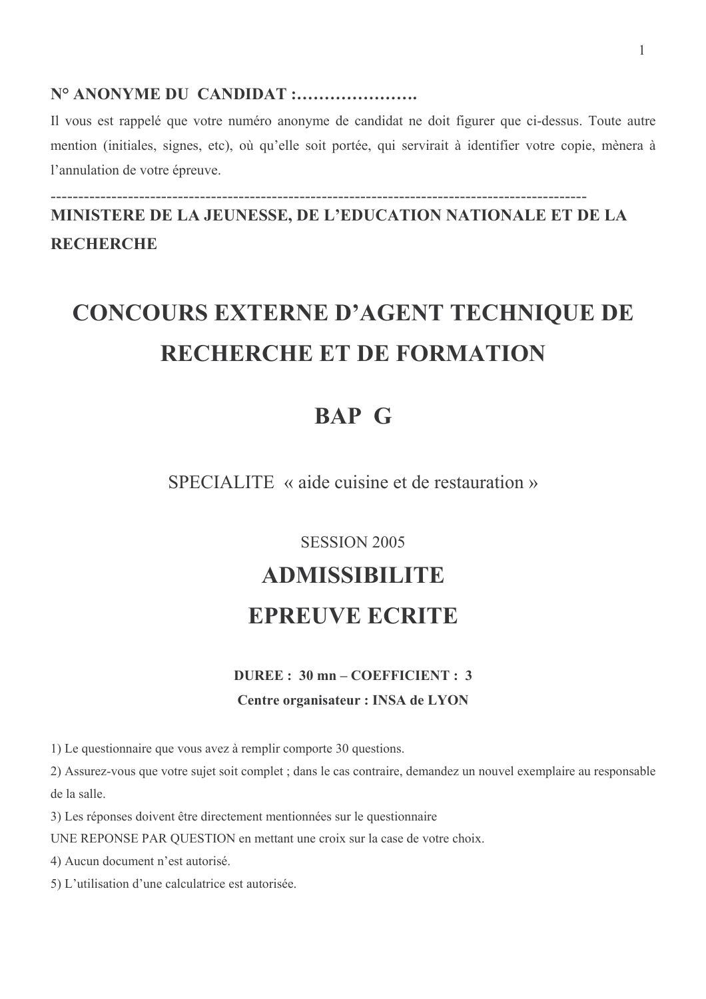# N° ANONYME DU CANDIDAT :.......................

Il vous est rappelé que votre numéro anonyme de candidat ne doit figurer que ci-dessus. Toute autre mention (initiales, signes, etc), où qu'elle soit portée, qui servirait à identifier votre copie, mènera à l'annulation de votre épreuve.

MINISTERE DE LA JEUNESSE, DE L'EDUCATION NATIONALE ET DE LA **RECHERCHE** 

# **CONCOURS EXTERNE D'AGENT TECHNIQUE DE RECHERCHE ET DE FORMATION**

# **BAP G**

SPECIALITE « aide cuisine et de restauration »

# **SESSION 2005**

# **ADMISSIBILITE**

# **EPREUVE ECRITE**

#### DUREE: 30 mn - COEFFICIENT: 3

#### Centre organisateur : INSA de LYON

1) Le questionnaire que vous avez à remplir comporte 30 questions.

2) Assurez-vous que votre sujet soit complet ; dans le cas contraire, demandez un nouvel exemplaire au responsable de la salle.

3) Les réponses doivent être directement mentionnées sur le questionnaire

UNE REPONSE PAR OUESTION en mettant une croix sur la case de votre choix.

4) Aucun document n'est autorisé.

5) L'utilisation d'une calculatrice est autorisée.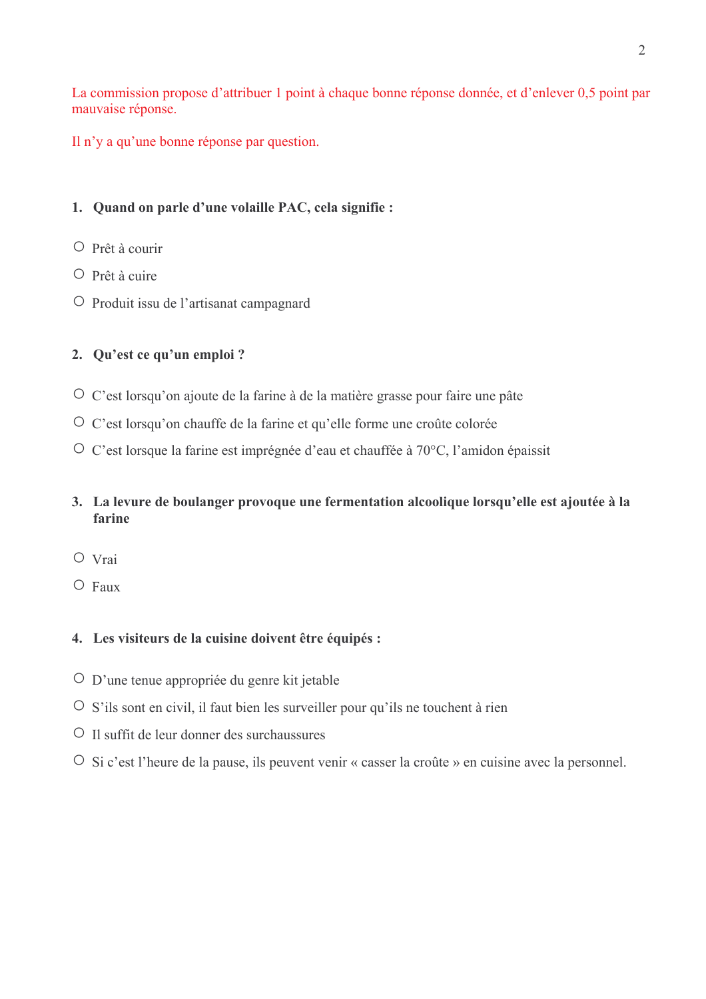La commission propose d'attribuer 1 point à chaque bonne réponse donnée, et d'enlever 0,5 point par mauvaise réponse.

Il n'y a qu'une bonne réponse par question.

# 1. Quand on parle d'une volaille PAC, cela signifie :

- O Prêt à courir
- $\circ$  Prêt à cuire
- O Produit issu de l'artisanat campagnard

# 2. Qu'est ce qu'un emploi ?

- O C'est lorsqu'on ajoute de la farine à de la matière grasse pour faire une pâte
- O C'est lorsqu'on chauffe de la farine et qu'elle forme une croûte colorée
- O C'est lorsque la farine est imprégnée d'eau et chauffée à 70°C, l'amidon épaissit

# 3. La levure de boulanger provoque une fermentation alcoolique lorsqu'elle est ajoutée à la farine

- O Vrai
- $O$  Faux

# 4. Les visiteurs de la cuisine doivent être équipés :

- O D'une tenue appropriée du genre kit jetable
- O S'ils sont en civil, il faut bien les surveiller pour qu'ils ne touchent à rien
- O Il suffit de leur donner des surchaussures
- O Si c'est l'heure de la pause, ils peuvent venir « casser la croûte » en cuisine avec la personnel.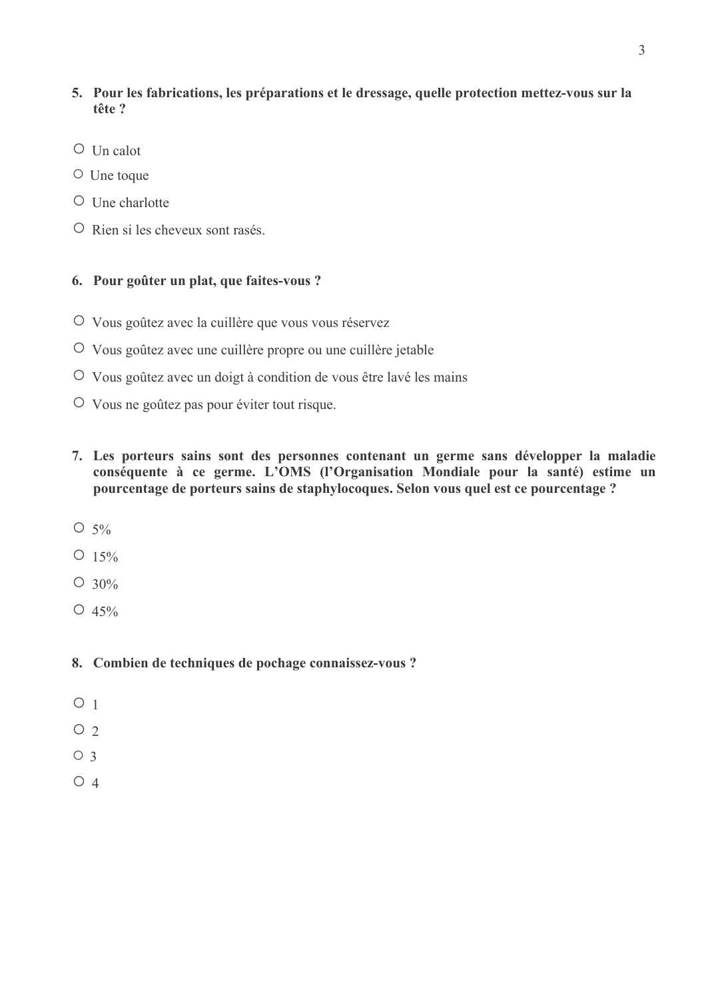# 5. Pour les fabrications, les préparations et le dressage, quelle protection mettez-vous sur la tête ?

- $\circ$  Un calot
- $\circ$  Une toque
- $\circ$  Une charlotte
- O Rien si les cheveux sont rasés.

### 6. Pour goûter un plat, que faites-vous ?

- O Vous goûtez avec la cuillère que vous vous réservez
- O Vous goûtez avec une cuillère propre ou une cuillère jetable
- O Vous goûtez avec un doigt à condition de vous être lavé les mains
- O Vous ne goûtez pas pour éviter tout risque.
- 7. Les porteurs sains sont des personnes contenant un germe sans développer la maladie conséquente à ce germe. L'OMS (l'Organisation Mondiale pour la santé) estime un pourcentage de porteurs sains de staphylocoques. Selon vous quel est ce pourcentage ?
- $O 5\%$
- $O$  15%
- $O$  30%
- $O\ 45\%$
- 8. Combien de techniques de pochage connaissez-vous ?
- $O<sub>1</sub>$
- $O<sub>2</sub>$
- $O<sub>3</sub>$
- $O_4$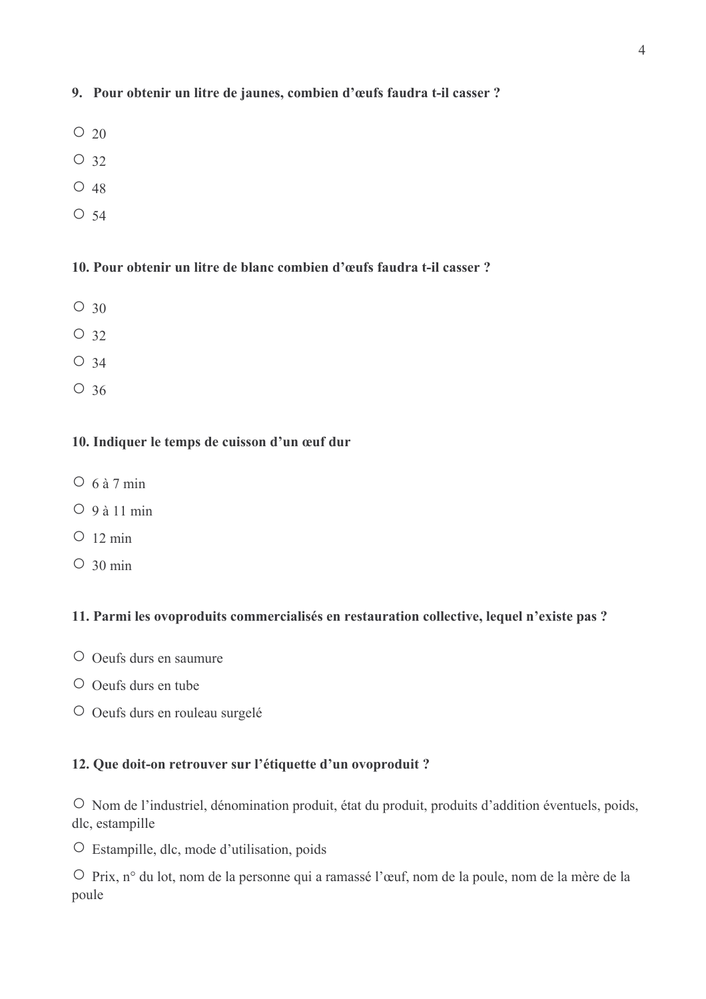# 9. Pour obtenir un litre de jaunes, combien d'œufs faudra t-il casser ?

- $\circ$  20
- $\circ$  32
- $\circ$  48
- $\circ$  54

## 10. Pour obtenir un litre de blanc combien d'œufs faudra t-il casser ?

- $\circ$  30
- $O_32$
- $\circ$  34
- $\circ$  36

#### 10. Indiquer le temps de cuisson d'un œuf dur

- $\circ$  6 à 7 min
- $O_9$ à 11 min
- $O$  12 min
- $\circ$  30 min

# 11. Parmi les ovoproduits commercialisés en restauration collective, lequel n'existe pas ?

- O Oeufs durs en saumure
- $\circ$  Oeufs durs en tube
- O Oeufs durs en rouleau surgelé

#### 12. Que doit-on retrouver sur l'étiquette d'un ovoproduit ?

O Nom de l'industriel, dénomination produit, état du produit, produits d'addition éventuels, poids, dlc, estampille

O Estampille, dlc, mode d'utilisation, poids

O Prix, n° du lot, nom de la personne qui a ramassé l'œuf, nom de la poule, nom de la mère de la poule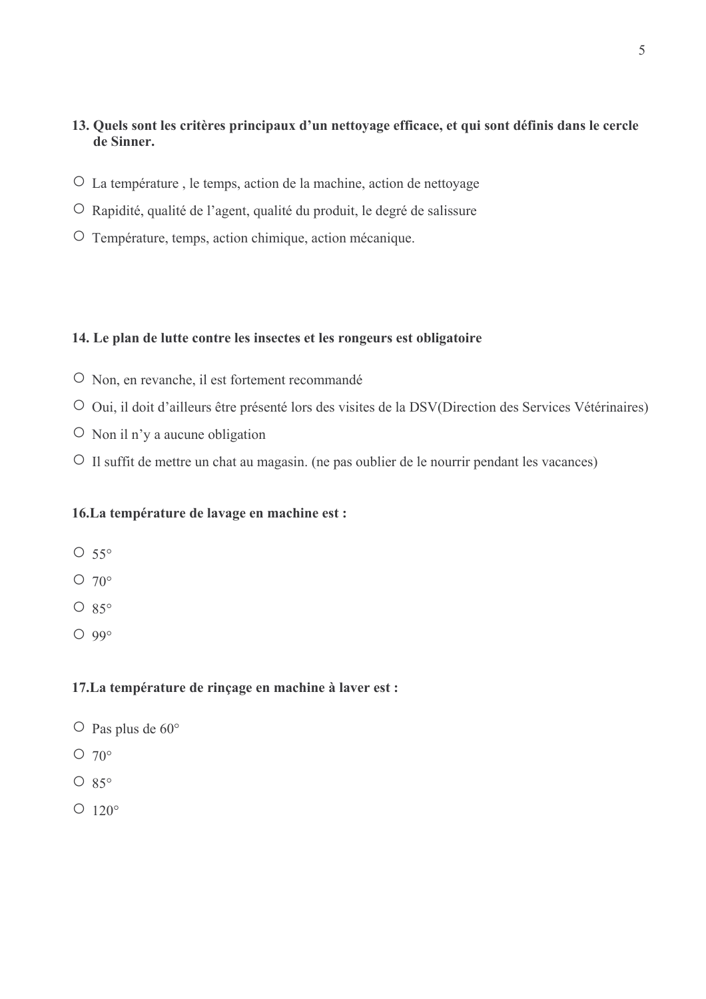# 13. Quels sont les critères principaux d'un nettovage efficace, et qui sont définis dans le cercle de Sinner.

- O La température, le temps, action de la machine, action de nettoyage
- O Rapidité, qualité de l'agent, qualité du produit, le degré de salissure
- O Température, temps, action chimique, action mécanique.

#### 14. Le plan de lutte contre les insectes et les rongeurs est obligatoire

- O Non, en revanche, il est fortement recommandé
- O Oui, il doit d'ailleurs être présenté lors des visites de la DSV(Direction des Services Vétérinaires)
- $\circ$  Non il n'y a aucune obligation
- $\circ$  Il suffit de mettre un chat au magasin. (ne pas oublier de le nourrir pendant les vacances)

#### 16. La température de lavage en machine est :

- $O\ 55^\circ$
- $O$  70 $^{\circ}$
- $O$  85°
- $O$  99°

### 17. La température de rinçage en machine à laver est :

- $\circ$  Pas plus de 60°
- $\circ$  70°
- $O 85^\circ$
- $O$  120 $^{\circ}$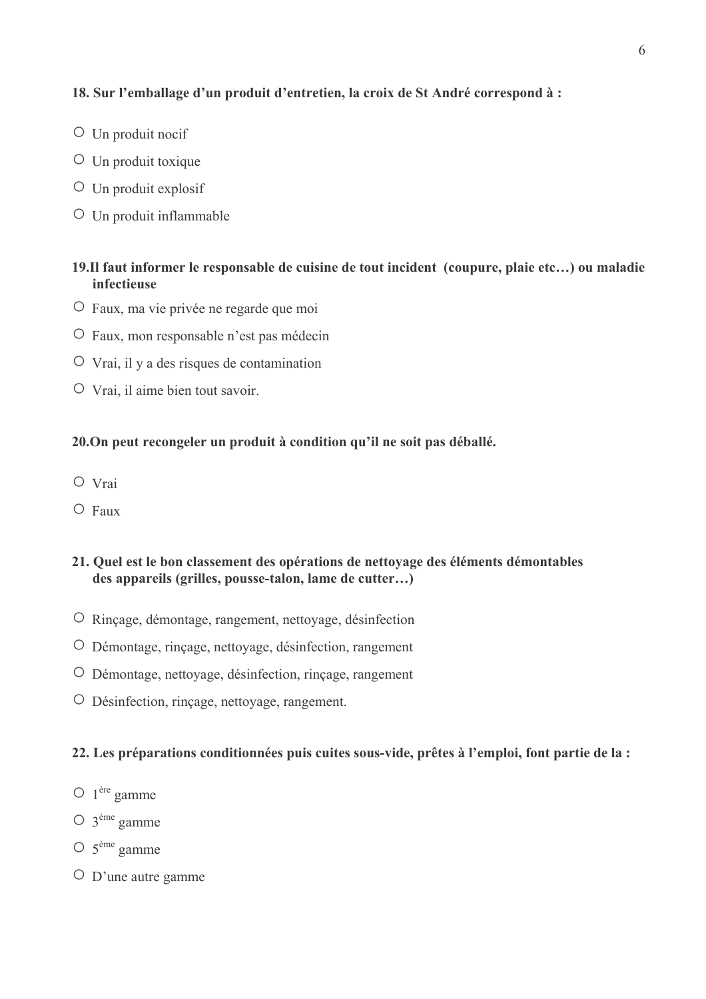#### 18. Sur l'emballage d'un produit d'entretien, la croix de St André correspond à :

- $\circ$  Un produit nocif
- $\circ$  Un produit toxique
- $\circ$  Un produit explosif
- $\circ$  Un produit inflammable

# 19.Il faut informer le responsable de cuisine de tout incident (coupure, plaie etc...) ou maladie infectiense

- O Faux, ma vie privée ne regarde que moi
- O Faux, mon responsable n'est pas médecin
- $\circ$  Vrai, il y a des risques de contamination
- $\circ$  Vrai, il aime bien tout savoir.

#### 20. On peut recongeler un produit à condition qu'il ne soit pas déballé.

- $O$  Vrai
- $\circ$  Faux

#### 21. Quel est le bon classement des opérations de nettovage des éléments démontables des appareils (grilles, pousse-talon, lame de cutter...)

- O Rincage, démontage, rangement, nettoyage, désinfection
- O Démontage, rinçage, nettoyage, désinfection, rangement
- O Démontage, nettoyage, désinfection, rinçage, rangement
- O Désinfection, rinçage, nettoyage, rangement.

#### 22. Les préparations conditionnées puis cuites sous-vide, prêtes à l'emploi, font partie de la :

- $\bigcirc$  1<sup>ère</sup> gamme
- $\circ$  3<sup>ème</sup> gamme
- $\circ$  5<sup>ème</sup> gamme
- $\circ$  D'une autre gamme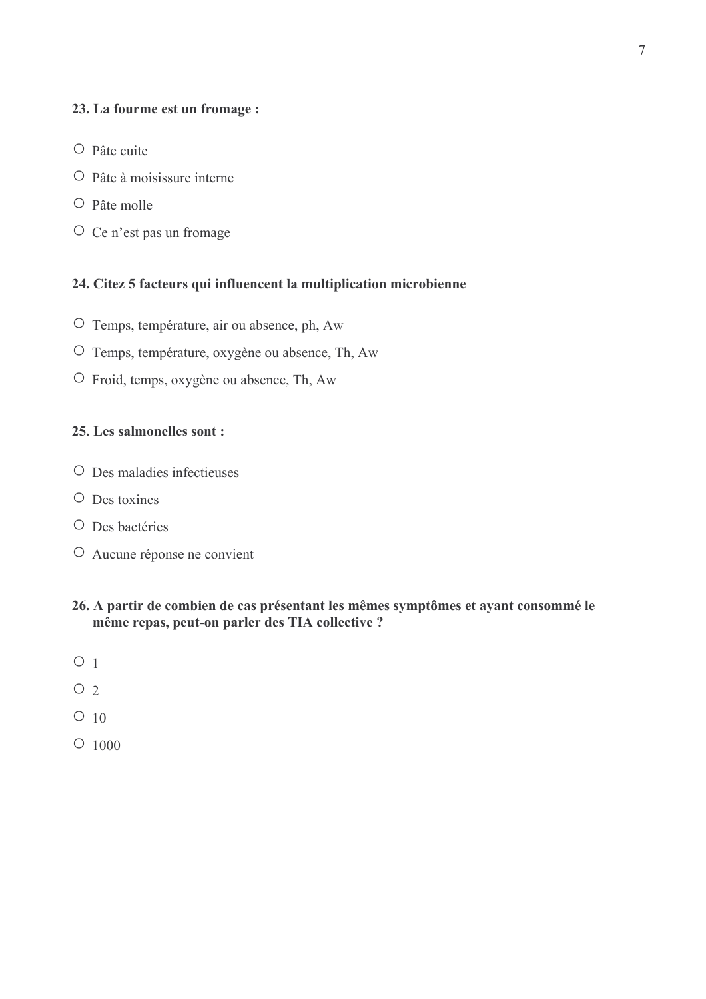#### 23. La fourme est un fromage :

- $O$  Pâte cuite
- $\overline{O}$  Pâte à moisissure interne
- $\circ$  Pâte molle
- O Ce n'est pas un fromage

# 24. Citez 5 facteurs qui influencent la multiplication microbienne

- O Temps, température, air ou absence, ph, Aw
- O Temps, température, oxygène ou absence, Th, Aw
- O Froid, temps, oxygène ou absence, Th, Aw

#### 25. Les salmonelles sont :

- $\circ$  Des maladies infectieuses
- $\circ$  Des toxines
- O Des bactéries
- O Aucune réponse ne convient
- 26. A partir de combien de cas présentant les mêmes symptômes et ayant consommé le même repas, peut-on parler des TIA collective ?
- $O<sub>1</sub>$
- $O<sub>2</sub>$
- $\circ$  10
- $\circ$  1000